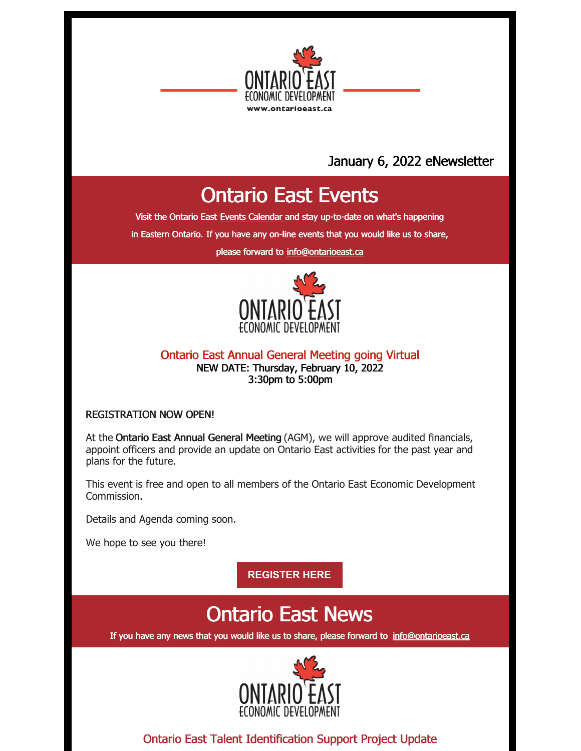

# January 6, 2022 eNewsletter

# Ontario East Events

Visit the Ontario East Events [Calendar](https://ontarioeast.ca/events) and stay up-to-date on what's happening

in Eastern Ontario. If you have any on-line events that you would like us to share,

please forward to [info@ontarioeast.ca](mailto:info@ontarioeast.ca)



#### Ontario East Annual General Meeting going Virtual NEW DATE: Thursday, February 10, 2022 3:30pm to 5:00pm

#### REGISTRATION NOW OPEN!

At the Ontario East Annual General Meeting (AGM), we will approve audited financials, appoint officers and provide an update on Ontario East activities for the past year and plans for the future.

This event is free and open to all members of the Ontario East Economic Development Commission.

Details and Agenda coming soon.

We hope to see you there!

**[REGISTER](https://www.eventbrite.ca/e/ontario-east-economic-development-commission-annual-general-meeting-2022-registration-239420813097) HERE**

# Ontario East News

If you have any news that you would like us to share, please forward to [info@ontarioeast.ca](mailto:info@ontarioeast.ca)



Ontario East Talent Identification Support Project Update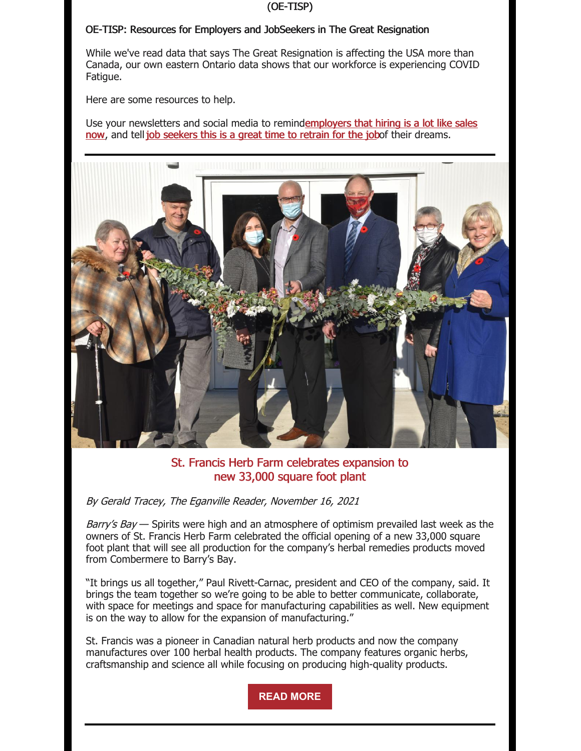#### (OE-TISP)

#### OE-TISP: Resources for Employers and JobSeekers in The Great Resignation

While we've read data that says The Great Resignation is affecting the USA more than Canada, our own eastern Ontario data shows that our workforce is experiencing COVID Fatigue.

Here are some resources to help.

Use your newsletters and social media to [remindemployers](https://t.sidekickopen01.com/s3t/c/5/f18dQhb0S7kv8c82szVf5rhG59hl3kW7_k2842PyJyGW7wzN4k2Qx-dHW2Swb-n2bzNMtf46JSFc01?te=W3R5hFj4cm2zwW3CbHnh1JDwy2W3zgDbB3K1M16W1JxvHB41RjcFW1GHbGN49S89KW3_SNwq1GJ1-dW4cfLwz4cfKPkW3ZZpfG3ZWVFfW1GHCPC3K96qzW3S-pXv1GFyG10&si=5457739056414720&pi=9eefef34-8b35-4c8c-82e3-7b55a3fc8328) that hiring is a lot like sales now, and tell job [seekers](https://t.sidekickopen01.com/s3t/c/5/f18dQhb0S7kv8c82szVf5rhG59hl3kW7_k2842PyJyGW7wzN4k2Qx-dHW2Swb-n2bzNMtf46JSFc01?te=W3R5hFj4cm2zwW3CbHnh1JDwy2W3zgDbB3K1M16W1JxvHB3M7lmmW1GF-1K3T1jZmW4fM_3341S-WV0&si=5457739056414720&pi=9eefef34-8b35-4c8c-82e3-7b55a3fc8328) this is a great time to retrain for the jobof their dreams.



### St. Francis Herb Farm celebrates expansion to new 33,000 square foot plant

By Gerald Tracey, The Eganville Reader, November 16, 2021

Barry's Bay — Spirits were high and an atmosphere of optimism prevailed last week as the owners of St. Francis Herb Farm celebrated the official opening of a new 33,000 square foot plant that will see all production for the company's herbal remedies products moved from Combermere to Barry's Bay.

"It brings us all together," Paul Rivett-Carnac, president and CEO of the company, said. It brings the team together so we're going to be able to better communicate, collaborate, with space for meetings and space for manufacturing capabilities as well. New equipment is on the way to allow for the expansion of manufacturing."

St. Francis was a pioneer in Canadian natural herb products and now the company manufactures over 100 herbal health products. The company features organic herbs, craftsmanship and science all while focusing on producing high-quality products.

**READ [MORE](https://ontarioeast.ca/news/st-francis-herb-farm-celebrates-expansion-new-33000-square-foot-plant)**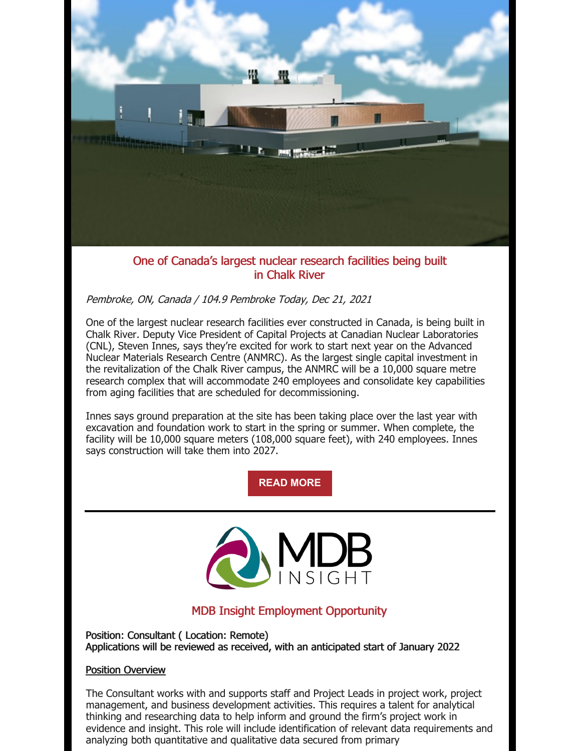

### One of Canada's largest nuclear research facilities being built in Chalk River

### Pembroke, ON, Canada / 104.9 Pembroke Today, Dec 21, 2021

One of the largest nuclear research facilities ever constructed in Canada, is being built in Chalk River. Deputy Vice President of Capital Projects at Canadian Nuclear Laboratories (CNL), Steven Innes, says they're excited for work to start next year on the Advanced Nuclear Materials Research Centre (ANMRC). As the largest single capital investment in the revitalization of the Chalk River campus, the ANMRC will be a 10,000 square metre research complex that will accommodate 240 employees and consolidate key capabilities from aging facilities that are scheduled for decommissioning.

Innes says ground preparation at the site has been taking place over the last year with excavation and foundation work to start in the spring or summer. When complete, the facility will be 10,000 square meters (108,000 square feet), with 240 employees. Innes says construction will take them into 2027.

## **READ [MORE](https://ontarioeast.ca/news/one-canada-s-largest-nuclear-research-facilities-being-built-chalk-river)**



## MDB Insight Employment Opportunity

Position: Consultant ( Location: Remote) Applications will be reviewed as received, with an anticipated start of January 2022

#### Position Overview

The Consultant works with and supports staff and Project Leads in project work, project management, and business development activities. This requires a talent for analytical thinking and researching data to help inform and ground the firm's project work in evidence and insight. This role will include identification of relevant data requirements and analyzing both quantitative and qualitative data secured from primary